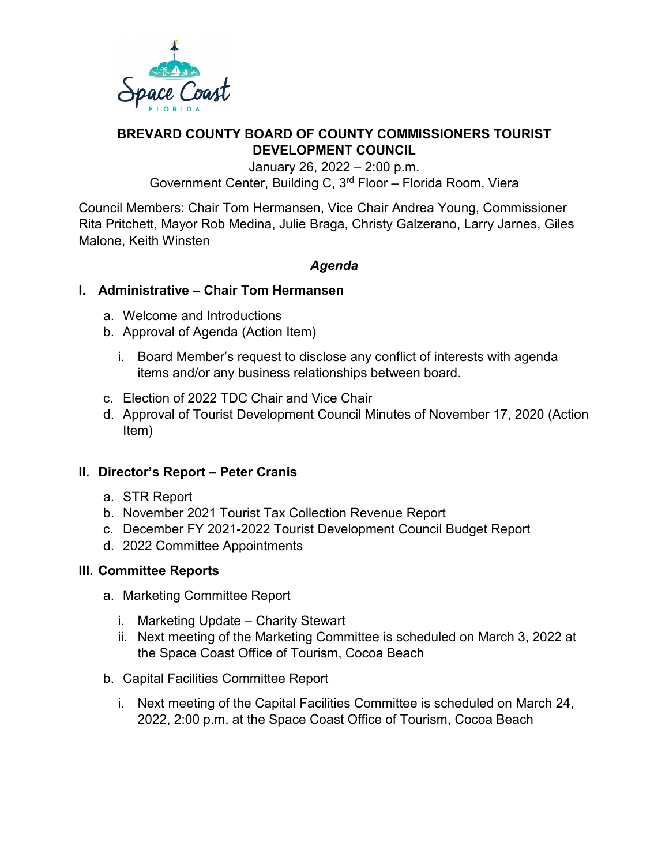

# **BREVARD COUNTY BOARD OF COUNTY COMMISSIONERS TOURIST DEVELOPMENT COUNCIL**

January 26, 2022 – 2:00 p.m. Government Center, Building C, 3rd Floor – Florida Room, Viera

Council Members: Chair Tom Hermansen, Vice Chair Andrea Young, Commissioner Rita Pritchett, Mayor Rob Medina, Julie Braga, Christy Galzerano, Larry Jarnes, Giles Malone, Keith Winsten

# *Agenda*

### **I. Administrative – Chair Tom Hermansen**

- a. Welcome and Introductions
- b. Approval of Agenda (Action Item)
	- i. Board Member's request to disclose any conflict of interests with agenda items and/or any business relationships between board.
- c. Election of 2022 TDC Chair and Vice Chair
- d. Approval of Tourist Development Council Minutes of November 17, 2020 (Action Item)

#### **II. Director's Report – Peter Cranis**

- a. STR Report
- b. November 2021 Tourist Tax Collection Revenue Report
- c. December FY 2021-2022 Tourist Development Council Budget Report
- d. 2022 Committee Appointments

#### **III. Committee Reports**

- a. Marketing Committee Report
	- i. Marketing Update Charity Stewart
	- ii. Next meeting of the Marketing Committee is scheduled on March 3, 2022 at the Space Coast Office of Tourism, Cocoa Beach
- b. Capital Facilities Committee Report
	- i. Next meeting of the Capital Facilities Committee is scheduled on March 24, 2022, 2:00 p.m. at the Space Coast Office of Tourism, Cocoa Beach